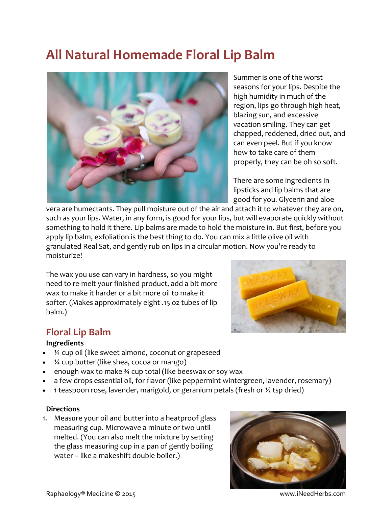# **All Natural Homemade Floral Lip Balm**



Summer is one of the worst seasons for your lips. Despite the high humidity in much of the region, lips go through high heat, blazing sun, and excessive vacation smiling. They can get chapped, reddened, dried out, and can even peel. But if you know how to take care of them properly, they can be oh so soft.

There are some ingredients in lipsticks and lip balms that are good for you. Glycerin and aloe

vera are humectants. They pull moisture out of the air and attach it to whatever they are on, such as your lips. Water, in any form, is good for your lips, but will evaporate quickly without something to hold it there. Lip balms are made to hold the moisture in. But first, before you apply lip balm, exfoliation is the best thing to do. You can mix a little olive oil with granulated Real Sat, and gently rub on lips in a circular motion. Now you're ready to moisturize!

The wax you use can vary in hardness, so you might need to re-melt your finished product, add a bit more wax to make it harder or a bit more oil to make it softer. (Makes approximately eight .15 oz tubes of lip balm.)

## **Floral Lip Balm**

#### **Ingredients**

- ¼ cup oil (like sweet almond, coconut or grapeseed
- ¼ cup butter (like shea, cocoa or mango)
- enough wax to make ¾ cup total (like beeswax or soy wax
- a few drops essential oil, for flavor (like peppermint wintergreen, lavender, rosemary)
- 1 teaspoon rose, lavender, marigold, or geranium petals (fresh or  $\frac{1}{2}$  tsp dried)

#### **Directions**

1. Measure your oil and butter into a heatproof glass measuring cup. Microwave a minute or two until melted. (You can also melt the mixture by setting the glass measuring cup in a pan of gently boiling water – like a makeshift double boiler.)